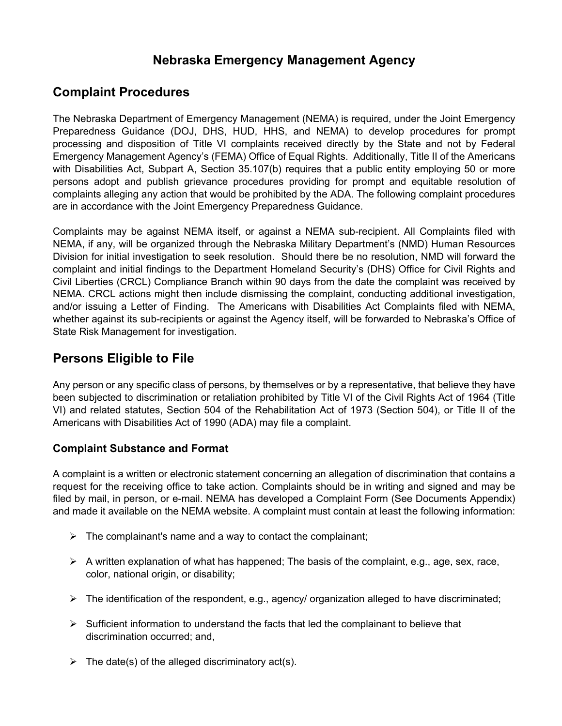# **Nebraska Emergency Management Agency**

### **Complaint Procedures**

The Nebraska Department of Emergency Management (NEMA) is required, under the Joint Emergency Preparedness Guidance (DOJ, DHS, HUD, HHS, and NEMA) to develop procedures for prompt processing and disposition of Title VI complaints received directly by the State and not by Federal Emergency Management Agency's (FEMA) Office of Equal Rights. Additionally, Title II of the Americans with Disabilities Act, Subpart A, Section 35.107(b) requires that a public entity employing 50 or more persons adopt and publish grievance procedures providing for prompt and equitable resolution of complaints alleging any action that would be prohibited by the ADA. The following complaint procedures are in accordance with the Joint Emergency Preparedness Guidance.

Complaints may be against NEMA itself, or against a NEMA sub-recipient. All Complaints filed with NEMA, if any, will be organized through the Nebraska Military Department's (NMD) Human Resources Division for initial investigation to seek resolution. Should there be no resolution, NMD will forward the complaint and initial findings to the Department Homeland Security's (DHS) Office for Civil Rights and Civil Liberties (CRCL) Compliance Branch within 90 days from the date the complaint was received by NEMA. CRCL actions might then include dismissing the complaint, conducting additional investigation, and/or issuing a Letter of Finding. The Americans with Disabilities Act Complaints filed with NEMA, whether against its sub-recipients or against the Agency itself, will be forwarded to Nebraska's Office of State Risk Management for investigation.

## **Persons Eligible to File**

Any person or any specific class of persons, by themselves or by a representative, that believe they have been subjected to discrimination or retaliation prohibited by Title VI of the Civil Rights Act of 1964 (Title VI) and related statutes, Section 504 of the Rehabilitation Act of 1973 (Section 504), or Title II of the Americans with Disabilities Act of 1990 (ADA) may file a complaint.

#### **Complaint Substance and Format**

A complaint is a written or electronic statement concerning an allegation of discrimination that contains a request for the receiving office to take action. Complaints should be in writing and signed and may be filed by mail, in person, or e-mail. NEMA has developed a Complaint Form (See Documents Appendix) and made it available on the NEMA website. A complaint must contain at least the following information:

- $\triangleright$  The complainant's name and a way to contact the complainant;
- $\triangleright$  A written explanation of what has happened; The basis of the complaint, e.g., age, sex, race, color, national origin, or disability;
- The identification of the respondent, e.g., agency/ organization alleged to have discriminated;
- $\triangleright$  Sufficient information to understand the facts that led the complainant to believe that discrimination occurred; and,
- $\triangleright$  The date(s) of the alleged discriminatory act(s).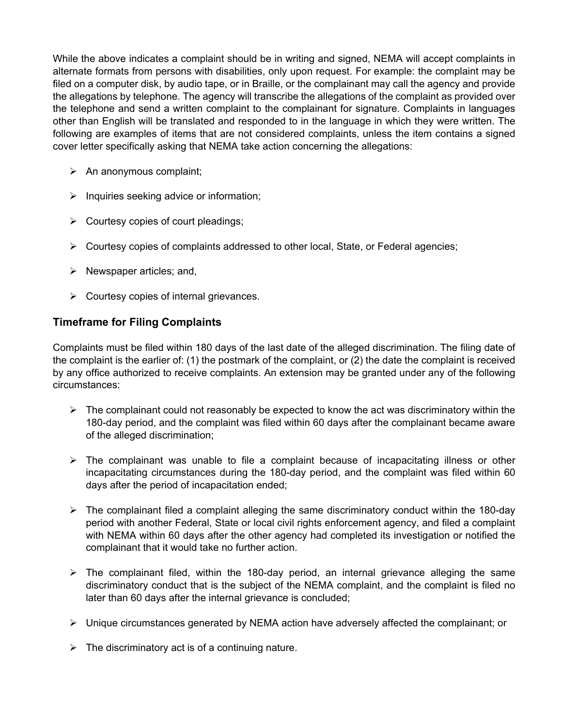While the above indicates a complaint should be in writing and signed, NEMA will accept complaints in alternate formats from persons with disabilities, only upon request. For example: the complaint may be filed on a computer disk, by audio tape, or in Braille, or the complainant may call the agency and provide the allegations by telephone. The agency will transcribe the allegations of the complaint as provided over the telephone and send a written complaint to the complainant for signature. Complaints in languages other than English will be translated and responded to in the language in which they were written. The following are examples of items that are not considered complaints, unless the item contains a signed cover letter specifically asking that NEMA take action concerning the allegations:

- $\triangleright$  An anonymous complaint;
- $\triangleright$  Inquiries seeking advice or information;
- $\triangleright$  Courtesy copies of court pleadings;
- $\triangleright$  Courtesy copies of complaints addressed to other local, State, or Federal agencies;
- $\triangleright$  Newspaper articles; and,
- $\triangleright$  Courtesy copies of internal grievances.

#### **Timeframe for Filing Complaints**

Complaints must be filed within 180 days of the last date of the alleged discrimination. The filing date of the complaint is the earlier of: (1) the postmark of the complaint, or (2) the date the complaint is received by any office authorized to receive complaints. An extension may be granted under any of the following circumstances:

- $\triangleright$  The complainant could not reasonably be expected to know the act was discriminatory within the 180-day period, and the complaint was filed within 60 days after the complainant became aware of the alleged discrimination;
- $\triangleright$  The complainant was unable to file a complaint because of incapacitating illness or other incapacitating circumstances during the 180-day period, and the complaint was filed within 60 days after the period of incapacitation ended;
- $\triangleright$  The complainant filed a complaint alleging the same discriminatory conduct within the 180-day period with another Federal, State or local civil rights enforcement agency, and filed a complaint with NEMA within 60 days after the other agency had completed its investigation or notified the complainant that it would take no further action.
- $\triangleright$  The complainant filed, within the 180-day period, an internal grievance alleging the same discriminatory conduct that is the subject of the NEMA complaint, and the complaint is filed no later than 60 days after the internal grievance is concluded;
- $\triangleright$  Unique circumstances generated by NEMA action have adversely affected the complainant; or
- $\triangleright$  The discriminatory act is of a continuing nature.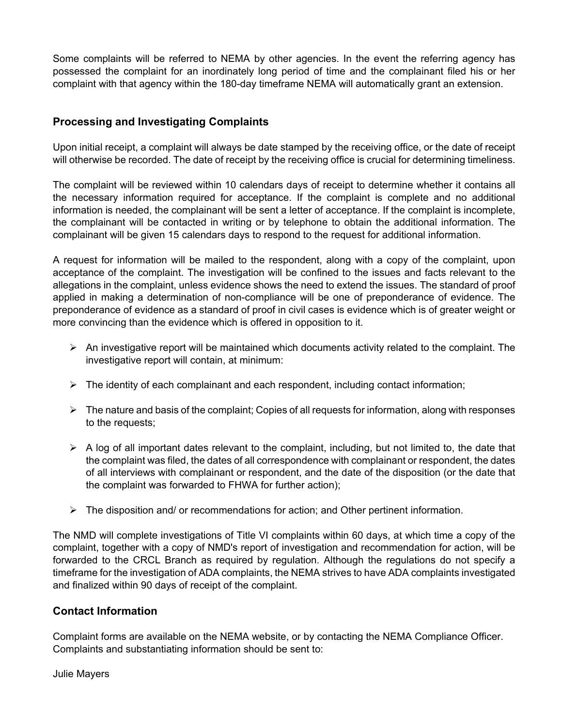Some complaints will be referred to NEMA by other agencies. In the event the referring agency has possessed the complaint for an inordinately long period of time and the complainant filed his or her complaint with that agency within the 180-day timeframe NEMA will automatically grant an extension.

#### **Processing and Investigating Complaints**

Upon initial receipt, a complaint will always be date stamped by the receiving office, or the date of receipt will otherwise be recorded. The date of receipt by the receiving office is crucial for determining timeliness.

The complaint will be reviewed within 10 calendars days of receipt to determine whether it contains all the necessary information required for acceptance. If the complaint is complete and no additional information is needed, the complainant will be sent a letter of acceptance. If the complaint is incomplete, the complainant will be contacted in writing or by telephone to obtain the additional information. The complainant will be given 15 calendars days to respond to the request for additional information.

A request for information will be mailed to the respondent, along with a copy of the complaint, upon acceptance of the complaint. The investigation will be confined to the issues and facts relevant to the allegations in the complaint, unless evidence shows the need to extend the issues. The standard of proof applied in making a determination of non-compliance will be one of preponderance of evidence. The preponderance of evidence as a standard of proof in civil cases is evidence which is of greater weight or more convincing than the evidence which is offered in opposition to it.

- $\triangleright$  An investigative report will be maintained which documents activity related to the complaint. The investigative report will contain, at minimum:
- $\triangleright$  The identity of each complainant and each respondent, including contact information;
- $\triangleright$  The nature and basis of the complaint; Copies of all requests for information, along with responses to the requests;
- $\triangleright$  A log of all important dates relevant to the complaint, including, but not limited to, the date that the complaint was filed, the dates of all correspondence with complainant or respondent, the dates of all interviews with complainant or respondent, and the date of the disposition (or the date that the complaint was forwarded to FHWA for further action);
- $\triangleright$  The disposition and/ or recommendations for action; and Other pertinent information.

The NMD will complete investigations of Title VI complaints within 60 days, at which time a copy of the complaint, together with a copy of NMD's report of investigation and recommendation for action, will be forwarded to the CRCL Branch as required by regulation. Although the regulations do not specify a timeframe for the investigation of ADA complaints, the NEMA strives to have ADA complaints investigated and finalized within 90 days of receipt of the complaint.

#### **Contact Information**

Complaint forms are available on the NEMA website, or by contacting the NEMA Compliance Officer. Complaints and substantiating information should be sent to:

Julie Mayers